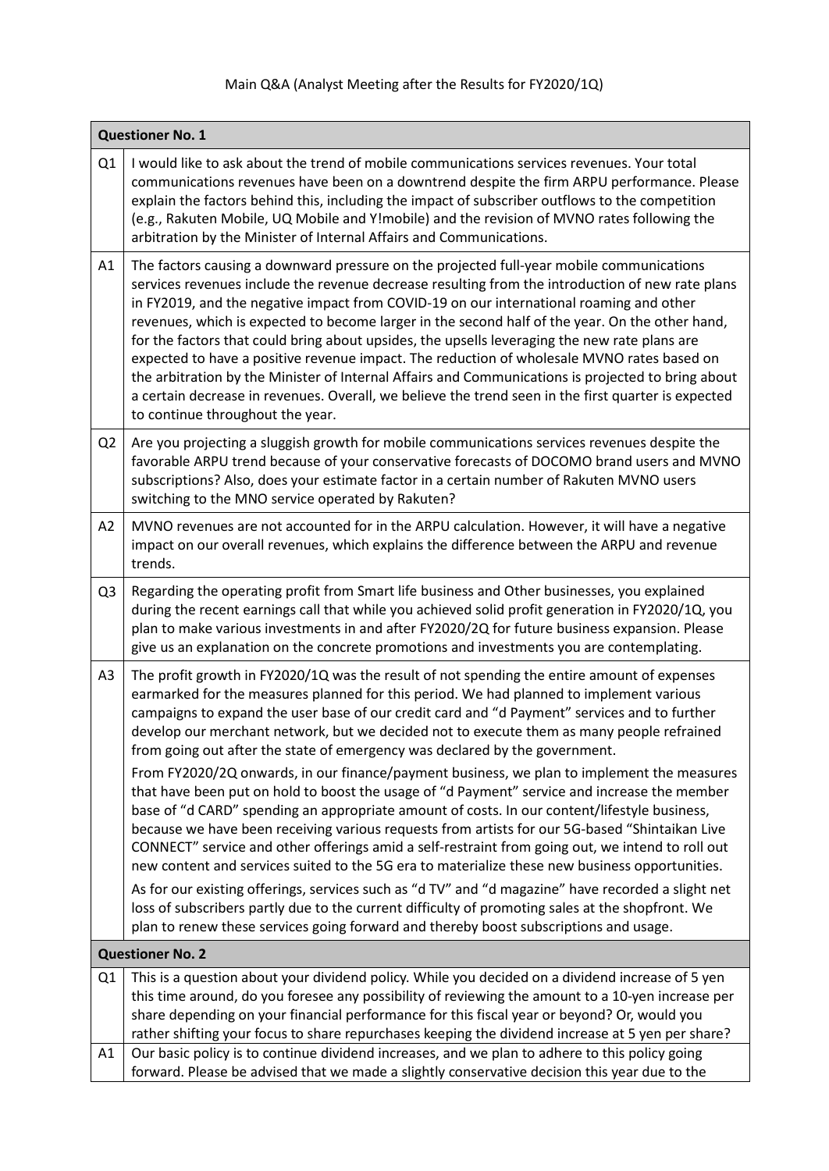## Main Q&A (Analyst Meeting after the Results for FY2020/1Q)

| <b>Questioner No. 1</b> |                                                                                                                                                                                                                                                                                                                                                                                                                                                                                                                                                                                                                                                                                                                                                                                                                                                                                                                                                                                                                                                                                                                                                                                                                                                                                                                                                                             |
|-------------------------|-----------------------------------------------------------------------------------------------------------------------------------------------------------------------------------------------------------------------------------------------------------------------------------------------------------------------------------------------------------------------------------------------------------------------------------------------------------------------------------------------------------------------------------------------------------------------------------------------------------------------------------------------------------------------------------------------------------------------------------------------------------------------------------------------------------------------------------------------------------------------------------------------------------------------------------------------------------------------------------------------------------------------------------------------------------------------------------------------------------------------------------------------------------------------------------------------------------------------------------------------------------------------------------------------------------------------------------------------------------------------------|
| Q1                      | I would like to ask about the trend of mobile communications services revenues. Your total<br>communications revenues have been on a downtrend despite the firm ARPU performance. Please<br>explain the factors behind this, including the impact of subscriber outflows to the competition<br>(e.g., Rakuten Mobile, UQ Mobile and Y!mobile) and the revision of MVNO rates following the<br>arbitration by the Minister of Internal Affairs and Communications.                                                                                                                                                                                                                                                                                                                                                                                                                                                                                                                                                                                                                                                                                                                                                                                                                                                                                                           |
| A1                      | The factors causing a downward pressure on the projected full-year mobile communications<br>services revenues include the revenue decrease resulting from the introduction of new rate plans<br>in FY2019, and the negative impact from COVID-19 on our international roaming and other<br>revenues, which is expected to become larger in the second half of the year. On the other hand,<br>for the factors that could bring about upsides, the upsells leveraging the new rate plans are<br>expected to have a positive revenue impact. The reduction of wholesale MVNO rates based on<br>the arbitration by the Minister of Internal Affairs and Communications is projected to bring about<br>a certain decrease in revenues. Overall, we believe the trend seen in the first quarter is expected<br>to continue throughout the year.                                                                                                                                                                                                                                                                                                                                                                                                                                                                                                                                  |
| Q <sub>2</sub>          | Are you projecting a sluggish growth for mobile communications services revenues despite the<br>favorable ARPU trend because of your conservative forecasts of DOCOMO brand users and MVNO<br>subscriptions? Also, does your estimate factor in a certain number of Rakuten MVNO users<br>switching to the MNO service operated by Rakuten?                                                                                                                                                                                                                                                                                                                                                                                                                                                                                                                                                                                                                                                                                                                                                                                                                                                                                                                                                                                                                                 |
| A2                      | MVNO revenues are not accounted for in the ARPU calculation. However, it will have a negative<br>impact on our overall revenues, which explains the difference between the ARPU and revenue<br>trends.                                                                                                                                                                                                                                                                                                                                                                                                                                                                                                                                                                                                                                                                                                                                                                                                                                                                                                                                                                                                                                                                                                                                                                      |
| Q <sub>3</sub>          | Regarding the operating profit from Smart life business and Other businesses, you explained<br>during the recent earnings call that while you achieved solid profit generation in FY2020/1Q, you<br>plan to make various investments in and after FY2020/2Q for future business expansion. Please<br>give us an explanation on the concrete promotions and investments you are contemplating.                                                                                                                                                                                                                                                                                                                                                                                                                                                                                                                                                                                                                                                                                                                                                                                                                                                                                                                                                                               |
| A <sub>3</sub>          | The profit growth in FY2020/1Q was the result of not spending the entire amount of expenses<br>earmarked for the measures planned for this period. We had planned to implement various<br>campaigns to expand the user base of our credit card and "d Payment" services and to further<br>develop our merchant network, but we decided not to execute them as many people refrained<br>from going out after the state of emergency was declared by the government.<br>From FY2020/2Q onwards, in our finance/payment business, we plan to implement the measures<br>that have been put on hold to boost the usage of "d Payment" service and increase the member<br>base of "d CARD" spending an appropriate amount of costs. In our content/lifestyle business,<br>because we have been receiving various requests from artists for our 5G-based "Shintaikan Live<br>CONNECT" service and other offerings amid a self-restraint from going out, we intend to roll out<br>new content and services suited to the 5G era to materialize these new business opportunities.<br>As for our existing offerings, services such as "d TV" and "d magazine" have recorded a slight net<br>loss of subscribers partly due to the current difficulty of promoting sales at the shopfront. We<br>plan to renew these services going forward and thereby boost subscriptions and usage. |
|                         | <b>Questioner No. 2</b>                                                                                                                                                                                                                                                                                                                                                                                                                                                                                                                                                                                                                                                                                                                                                                                                                                                                                                                                                                                                                                                                                                                                                                                                                                                                                                                                                     |
| Q1<br>A1                | This is a question about your dividend policy. While you decided on a dividend increase of 5 yen<br>this time around, do you foresee any possibility of reviewing the amount to a 10-yen increase per<br>share depending on your financial performance for this fiscal year or beyond? Or, would you<br>rather shifting your focus to share repurchases keeping the dividend increase at 5 yen per share?<br>Our basic policy is to continue dividend increases, and we plan to adhere to this policy going                                                                                                                                                                                                                                                                                                                                                                                                                                                                                                                                                                                                                                                                                                                                                                                                                                                                 |
|                         | forward. Please be advised that we made a slightly conservative decision this year due to the                                                                                                                                                                                                                                                                                                                                                                                                                                                                                                                                                                                                                                                                                                                                                                                                                                                                                                                                                                                                                                                                                                                                                                                                                                                                               |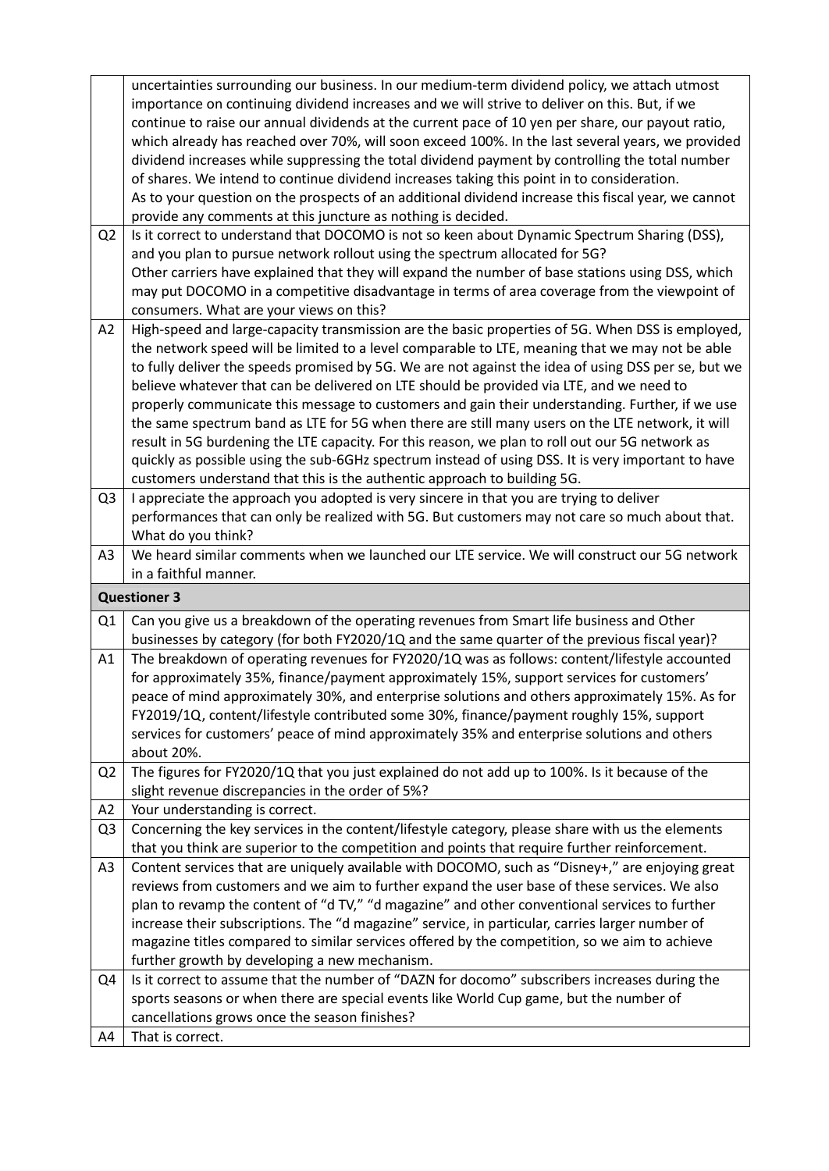|                | uncertainties surrounding our business. In our medium-term dividend policy, we attach utmost                                                                                                       |
|----------------|----------------------------------------------------------------------------------------------------------------------------------------------------------------------------------------------------|
|                | importance on continuing dividend increases and we will strive to deliver on this. But, if we<br>continue to raise our annual dividends at the current pace of 10 yen per share, our payout ratio, |
|                | which already has reached over 70%, will soon exceed 100%. In the last several years, we provided                                                                                                  |
|                | dividend increases while suppressing the total dividend payment by controlling the total number                                                                                                    |
|                | of shares. We intend to continue dividend increases taking this point in to consideration.                                                                                                         |
|                | As to your question on the prospects of an additional dividend increase this fiscal year, we cannot                                                                                                |
|                | provide any comments at this juncture as nothing is decided.                                                                                                                                       |
| Q <sub>2</sub> | Is it correct to understand that DOCOMO is not so keen about Dynamic Spectrum Sharing (DSS),                                                                                                       |
|                | and you plan to pursue network rollout using the spectrum allocated for 5G?                                                                                                                        |
|                | Other carriers have explained that they will expand the number of base stations using DSS, which                                                                                                   |
|                | may put DOCOMO in a competitive disadvantage in terms of area coverage from the viewpoint of                                                                                                       |
|                | consumers. What are your views on this?                                                                                                                                                            |
| A2             | High-speed and large-capacity transmission are the basic properties of 5G. When DSS is employed,                                                                                                   |
|                | the network speed will be limited to a level comparable to LTE, meaning that we may not be able                                                                                                    |
|                | to fully deliver the speeds promised by 5G. We are not against the idea of using DSS per se, but we                                                                                                |
|                | believe whatever that can be delivered on LTE should be provided via LTE, and we need to                                                                                                           |
|                | properly communicate this message to customers and gain their understanding. Further, if we use                                                                                                    |
|                | the same spectrum band as LTE for 5G when there are still many users on the LTE network, it will                                                                                                   |
|                | result in 5G burdening the LTE capacity. For this reason, we plan to roll out our 5G network as                                                                                                    |
|                | quickly as possible using the sub-6GHz spectrum instead of using DSS. It is very important to have<br>customers understand that this is the authentic approach to building 5G.                     |
| Q <sub>3</sub> | I appreciate the approach you adopted is very sincere in that you are trying to deliver                                                                                                            |
|                | performances that can only be realized with 5G. But customers may not care so much about that.                                                                                                     |
|                | What do you think?                                                                                                                                                                                 |
| A3             | We heard similar comments when we launched our LTE service. We will construct our 5G network                                                                                                       |
|                | in a faithful manner.                                                                                                                                                                              |
|                | <b>Questioner 3</b>                                                                                                                                                                                |
| Q <sub>1</sub> | Can you give us a breakdown of the operating revenues from Smart life business and Other                                                                                                           |
|                | businesses by category (for both FY2020/1Q and the same quarter of the previous fiscal year)?                                                                                                      |
| A1             | The breakdown of operating revenues for FY2020/1Q was as follows: content/lifestyle accounted                                                                                                      |
|                | for approximately 35%, finance/payment approximately 15%, support services for customers'                                                                                                          |
|                | peace of mind approximately 30%, and enterprise solutions and others approximately 15%. As for                                                                                                     |
|                | FY2019/1Q, content/lifestyle contributed some 30%, finance/payment roughly 15%, support                                                                                                            |
|                | services for customers' peace of mind approximately 35% and enterprise solutions and others                                                                                                        |
|                | about 20%.                                                                                                                                                                                         |
| Q <sub>2</sub> | The figures for FY2020/1Q that you just explained do not add up to 100%. Is it because of the<br>slight revenue discrepancies in the order of 5%?                                                  |
| A <sub>2</sub> | Your understanding is correct.                                                                                                                                                                     |
| Q <sub>3</sub> | Concerning the key services in the content/lifestyle category, please share with us the elements                                                                                                   |
|                | that you think are superior to the competition and points that require further reinforcement.                                                                                                      |
| A <sub>3</sub> | Content services that are uniquely available with DOCOMO, such as "Disney+," are enjoying great                                                                                                    |
|                | reviews from customers and we aim to further expand the user base of these services. We also                                                                                                       |
|                | plan to revamp the content of "d TV," "d magazine" and other conventional services to further                                                                                                      |
|                | increase their subscriptions. The "d magazine" service, in particular, carries larger number of                                                                                                    |
|                | magazine titles compared to similar services offered by the competition, so we aim to achieve                                                                                                      |
|                | further growth by developing a new mechanism.                                                                                                                                                      |
| Q4             | Is it correct to assume that the number of "DAZN for docomo" subscribers increases during the                                                                                                      |
|                |                                                                                                                                                                                                    |
|                | sports seasons or when there are special events like World Cup game, but the number of                                                                                                             |
|                | cancellations grows once the season finishes?<br>That is correct.                                                                                                                                  |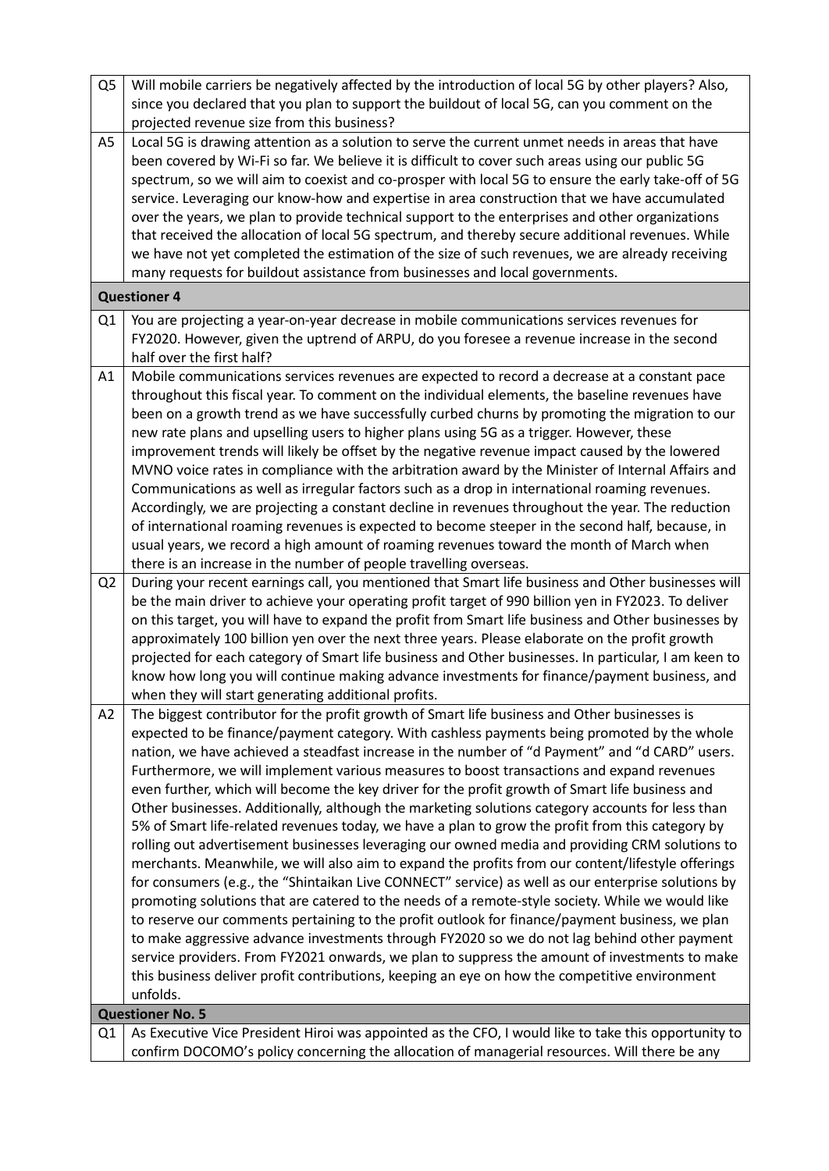| Q <sub>5</sub> | Will mobile carriers be negatively affected by the introduction of local 5G by other players? Also,<br>since you declared that you plan to support the buildout of local 5G, can you comment on the<br>projected revenue size from this business?                                                                                                                                                                                                                                                                                                                                                                                                                                                                                                                                                                                                                                                                                                                                                                                                                                                                                                                                                                                                                                                                                                                                                                                                                                                                                     |
|----------------|---------------------------------------------------------------------------------------------------------------------------------------------------------------------------------------------------------------------------------------------------------------------------------------------------------------------------------------------------------------------------------------------------------------------------------------------------------------------------------------------------------------------------------------------------------------------------------------------------------------------------------------------------------------------------------------------------------------------------------------------------------------------------------------------------------------------------------------------------------------------------------------------------------------------------------------------------------------------------------------------------------------------------------------------------------------------------------------------------------------------------------------------------------------------------------------------------------------------------------------------------------------------------------------------------------------------------------------------------------------------------------------------------------------------------------------------------------------------------------------------------------------------------------------|
| A5             | Local 5G is drawing attention as a solution to serve the current unmet needs in areas that have<br>been covered by Wi-Fi so far. We believe it is difficult to cover such areas using our public 5G<br>spectrum, so we will aim to coexist and co-prosper with local 5G to ensure the early take-off of 5G<br>service. Leveraging our know-how and expertise in area construction that we have accumulated<br>over the years, we plan to provide technical support to the enterprises and other organizations<br>that received the allocation of local 5G spectrum, and thereby secure additional revenues. While<br>we have not yet completed the estimation of the size of such revenues, we are already receiving<br>many requests for buildout assistance from businesses and local governments.                                                                                                                                                                                                                                                                                                                                                                                                                                                                                                                                                                                                                                                                                                                                  |
|                | <b>Questioner 4</b>                                                                                                                                                                                                                                                                                                                                                                                                                                                                                                                                                                                                                                                                                                                                                                                                                                                                                                                                                                                                                                                                                                                                                                                                                                                                                                                                                                                                                                                                                                                   |
| Q1             | You are projecting a year-on-year decrease in mobile communications services revenues for<br>FY2020. However, given the uptrend of ARPU, do you foresee a revenue increase in the second<br>half over the first half?                                                                                                                                                                                                                                                                                                                                                                                                                                                                                                                                                                                                                                                                                                                                                                                                                                                                                                                                                                                                                                                                                                                                                                                                                                                                                                                 |
| A1             | Mobile communications services revenues are expected to record a decrease at a constant pace<br>throughout this fiscal year. To comment on the individual elements, the baseline revenues have<br>been on a growth trend as we have successfully curbed churns by promoting the migration to our<br>new rate plans and upselling users to higher plans using 5G as a trigger. However, these<br>improvement trends will likely be offset by the negative revenue impact caused by the lowered<br>MVNO voice rates in compliance with the arbitration award by the Minister of Internal Affairs and<br>Communications as well as irregular factors such as a drop in international roaming revenues.<br>Accordingly, we are projecting a constant decline in revenues throughout the year. The reduction<br>of international roaming revenues is expected to become steeper in the second half, because, in<br>usual years, we record a high amount of roaming revenues toward the month of March when<br>there is an increase in the number of people travelling overseas.                                                                                                                                                                                                                                                                                                                                                                                                                                                            |
| Q <sub>2</sub> | During your recent earnings call, you mentioned that Smart life business and Other businesses will<br>be the main driver to achieve your operating profit target of 990 billion yen in FY2023. To deliver<br>on this target, you will have to expand the profit from Smart life business and Other businesses by<br>approximately 100 billion yen over the next three years. Please elaborate on the profit growth<br>projected for each category of Smart life business and Other businesses. In particular, I am keen to<br>know how long you will continue making advance investments for finance/payment business, and<br>when they will start generating additional profits.                                                                                                                                                                                                                                                                                                                                                                                                                                                                                                                                                                                                                                                                                                                                                                                                                                                     |
| A2             | The biggest contributor for the profit growth of Smart life business and Other businesses is<br>expected to be finance/payment category. With cashless payments being promoted by the whole<br>nation, we have achieved a steadfast increase in the number of "d Payment" and "d CARD" users.<br>Furthermore, we will implement various measures to boost transactions and expand revenues<br>even further, which will become the key driver for the profit growth of Smart life business and<br>Other businesses. Additionally, although the marketing solutions category accounts for less than<br>5% of Smart life-related revenues today, we have a plan to grow the profit from this category by<br>rolling out advertisement businesses leveraging our owned media and providing CRM solutions to<br>merchants. Meanwhile, we will also aim to expand the profits from our content/lifestyle offerings<br>for consumers (e.g., the "Shintaikan Live CONNECT" service) as well as our enterprise solutions by<br>promoting solutions that are catered to the needs of a remote-style society. While we would like<br>to reserve our comments pertaining to the profit outlook for finance/payment business, we plan<br>to make aggressive advance investments through FY2020 so we do not lag behind other payment<br>service providers. From FY2021 onwards, we plan to suppress the amount of investments to make<br>this business deliver profit contributions, keeping an eye on how the competitive environment<br>unfolds. |
|                | <b>Questioner No. 5</b>                                                                                                                                                                                                                                                                                                                                                                                                                                                                                                                                                                                                                                                                                                                                                                                                                                                                                                                                                                                                                                                                                                                                                                                                                                                                                                                                                                                                                                                                                                               |
| Q1             | As Executive Vice President Hiroi was appointed as the CFO, I would like to take this opportunity to<br>confirm DOCOMO's policy concerning the allocation of managerial resources. Will there be any                                                                                                                                                                                                                                                                                                                                                                                                                                                                                                                                                                                                                                                                                                                                                                                                                                                                                                                                                                                                                                                                                                                                                                                                                                                                                                                                  |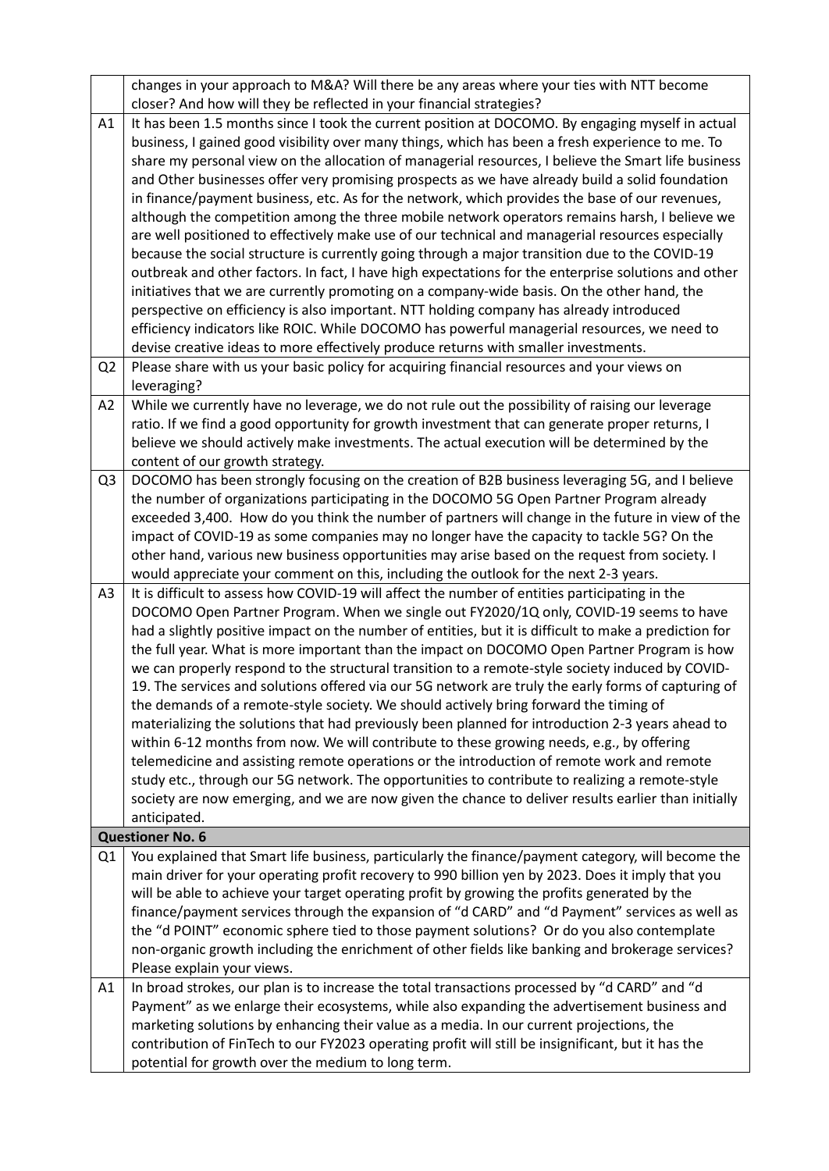|                | changes in your approach to M&A? Will there be any areas where your ties with NTT become                                                                 |
|----------------|----------------------------------------------------------------------------------------------------------------------------------------------------------|
|                | closer? And how will they be reflected in your financial strategies?                                                                                     |
| A1             | It has been 1.5 months since I took the current position at DOCOMO. By engaging myself in actual                                                         |
|                | business, I gained good visibility over many things, which has been a fresh experience to me. To                                                         |
|                | share my personal view on the allocation of managerial resources, I believe the Smart life business                                                      |
|                | and Other businesses offer very promising prospects as we have already build a solid foundation                                                          |
|                | in finance/payment business, etc. As for the network, which provides the base of our revenues,                                                           |
|                | although the competition among the three mobile network operators remains harsh, I believe we                                                            |
|                | are well positioned to effectively make use of our technical and managerial resources especially                                                         |
|                | because the social structure is currently going through a major transition due to the COVID-19                                                           |
|                | outbreak and other factors. In fact, I have high expectations for the enterprise solutions and other                                                     |
|                | initiatives that we are currently promoting on a company-wide basis. On the other hand, the                                                              |
|                | perspective on efficiency is also important. NTT holding company has already introduced                                                                  |
|                | efficiency indicators like ROIC. While DOCOMO has powerful managerial resources, we need to                                                              |
|                | devise creative ideas to more effectively produce returns with smaller investments.                                                                      |
| Q <sub>2</sub> | Please share with us your basic policy for acquiring financial resources and your views on                                                               |
|                | leveraging?                                                                                                                                              |
| A2             | While we currently have no leverage, we do not rule out the possibility of raising our leverage                                                          |
|                | ratio. If we find a good opportunity for growth investment that can generate proper returns, I                                                           |
|                | believe we should actively make investments. The actual execution will be determined by the                                                              |
|                | content of our growth strategy.<br>DOCOMO has been strongly focusing on the creation of B2B business leveraging 5G, and I believe                        |
| Q <sub>3</sub> | the number of organizations participating in the DOCOMO 5G Open Partner Program already                                                                  |
|                | exceeded 3,400. How do you think the number of partners will change in the future in view of the                                                         |
|                | impact of COVID-19 as some companies may no longer have the capacity to tackle 5G? On the                                                                |
|                | other hand, various new business opportunities may arise based on the request from society. I                                                            |
|                | would appreciate your comment on this, including the outlook for the next 2-3 years.                                                                     |
| A <sub>3</sub> | It is difficult to assess how COVID-19 will affect the number of entities participating in the                                                           |
|                | DOCOMO Open Partner Program. When we single out FY2020/1Q only, COVID-19 seems to have                                                                   |
|                | had a slightly positive impact on the number of entities, but it is difficult to make a prediction for                                                   |
|                | the full year. What is more important than the impact on DOCOMO Open Partner Program is how                                                              |
|                | we can properly respond to the structural transition to a remote-style society induced by COVID-                                                         |
|                | 19. The services and solutions offered via our 5G network are truly the early forms of capturing of                                                      |
|                | the demands of a remote-style society. We should actively bring forward the timing of                                                                    |
|                | materializing the solutions that had previously been planned for introduction 2-3 years ahead to                                                         |
|                | within 6-12 months from now. We will contribute to these growing needs, e.g., by offering                                                                |
|                | telemedicine and assisting remote operations or the introduction of remote work and remote                                                               |
|                | study etc., through our 5G network. The opportunities to contribute to realizing a remote-style                                                          |
|                | society are now emerging, and we are now given the chance to deliver results earlier than initially                                                      |
|                | anticipated.                                                                                                                                             |
|                | <b>Questioner No. 6</b>                                                                                                                                  |
| Q1             | You explained that Smart life business, particularly the finance/payment category, will become the                                                       |
|                | main driver for your operating profit recovery to 990 billion yen by 2023. Does it imply that you                                                        |
|                | will be able to achieve your target operating profit by growing the profits generated by the                                                             |
|                | finance/payment services through the expansion of "d CARD" and "d Payment" services as well as                                                           |
|                | the "d POINT" economic sphere tied to those payment solutions? Or do you also contemplate                                                                |
|                | non-organic growth including the enrichment of other fields like banking and brokerage services?                                                         |
|                | Please explain your views.                                                                                                                               |
| A1             | In broad strokes, our plan is to increase the total transactions processed by "d CARD" and "d                                                            |
|                | Payment" as we enlarge their ecosystems, while also expanding the advertisement business and                                                             |
|                | marketing solutions by enhancing their value as a media. In our current projections, the                                                                 |
|                | contribution of FinTech to our FY2023 operating profit will still be insignificant, but it has the<br>potential for growth over the medium to long term. |
|                |                                                                                                                                                          |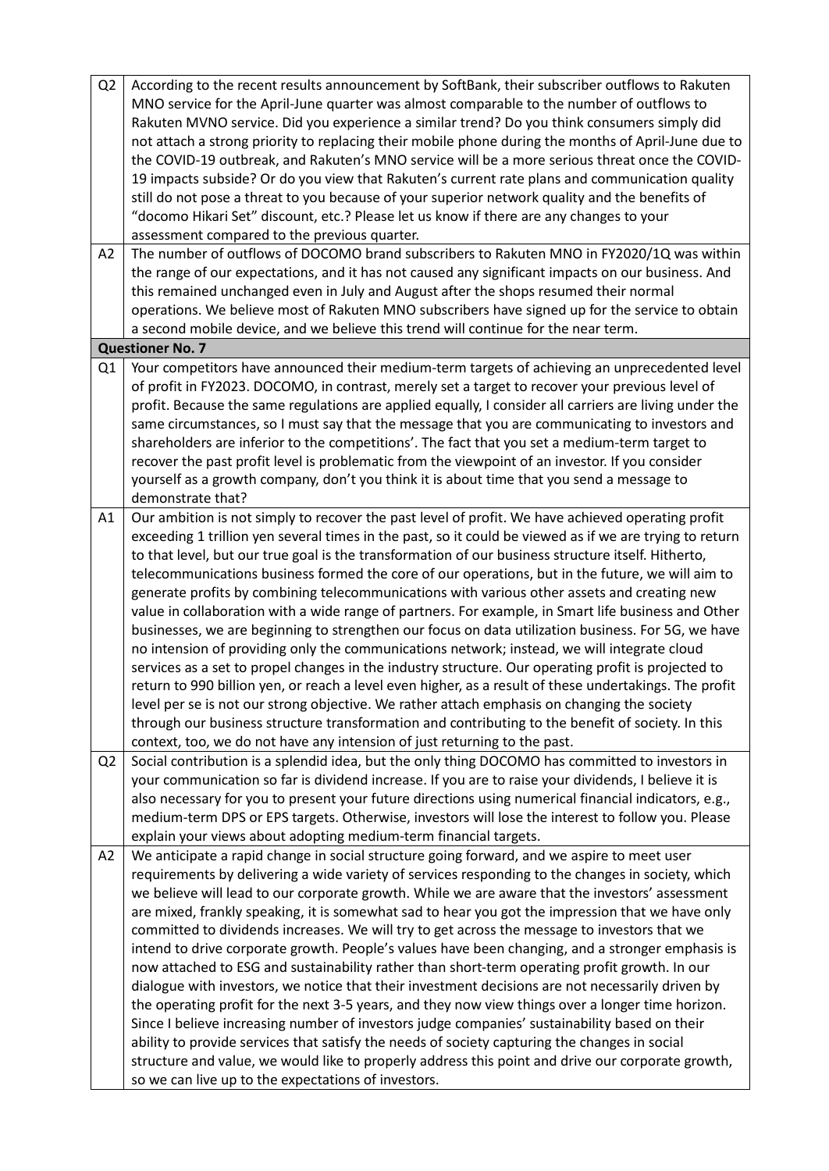| Q <sub>2</sub> | According to the recent results announcement by SoftBank, their subscriber outflows to Rakuten          |
|----------------|---------------------------------------------------------------------------------------------------------|
|                | MNO service for the April-June quarter was almost comparable to the number of outflows to               |
|                | Rakuten MVNO service. Did you experience a similar trend? Do you think consumers simply did             |
|                | not attach a strong priority to replacing their mobile phone during the months of April-June due to     |
|                | the COVID-19 outbreak, and Rakuten's MNO service will be a more serious threat once the COVID-          |
|                | 19 impacts subside? Or do you view that Rakuten's current rate plans and communication quality          |
|                | still do not pose a threat to you because of your superior network quality and the benefits of          |
|                | "docomo Hikari Set" discount, etc.? Please let us know if there are any changes to your                 |
|                | assessment compared to the previous quarter.                                                            |
| A2             | The number of outflows of DOCOMO brand subscribers to Rakuten MNO in FY2020/1Q was within               |
|                | the range of our expectations, and it has not caused any significant impacts on our business. And       |
|                | this remained unchanged even in July and August after the shops resumed their normal                    |
|                | operations. We believe most of Rakuten MNO subscribers have signed up for the service to obtain         |
|                | a second mobile device, and we believe this trend will continue for the near term.                      |
|                | <b>Questioner No. 7</b>                                                                                 |
| Q1             | Your competitors have announced their medium-term targets of achieving an unprecedented level           |
|                | of profit in FY2023. DOCOMO, in contrast, merely set a target to recover your previous level of         |
|                |                                                                                                         |
|                | profit. Because the same regulations are applied equally, I consider all carriers are living under the  |
|                | same circumstances, so I must say that the message that you are communicating to investors and          |
|                | shareholders are inferior to the competitions'. The fact that you set a medium-term target to           |
|                | recover the past profit level is problematic from the viewpoint of an investor. If you consider         |
|                | yourself as a growth company, don't you think it is about time that you send a message to               |
|                | demonstrate that?                                                                                       |
| A1             | Our ambition is not simply to recover the past level of profit. We have achieved operating profit       |
|                | exceeding 1 trillion yen several times in the past, so it could be viewed as if we are trying to return |
|                | to that level, but our true goal is the transformation of our business structure itself. Hitherto,      |
|                | telecommunications business formed the core of our operations, but in the future, we will aim to        |
|                | generate profits by combining telecommunications with various other assets and creating new             |
|                | value in collaboration with a wide range of partners. For example, in Smart life business and Other     |
|                | businesses, we are beginning to strengthen our focus on data utilization business. For 5G, we have      |
|                | no intension of providing only the communications network; instead, we will integrate cloud             |
|                | services as a set to propel changes in the industry structure. Our operating profit is projected to     |
|                | return to 990 billion yen, or reach a level even higher, as a result of these undertakings. The profit  |
|                | level per se is not our strong objective. We rather attach emphasis on changing the society             |
|                | through our business structure transformation and contributing to the benefit of society. In this       |
|                | context, too, we do not have any intension of just returning to the past.                               |
| Q <sub>2</sub> | Social contribution is a splendid idea, but the only thing DOCOMO has committed to investors in         |
|                | your communication so far is dividend increase. If you are to raise your dividends, I believe it is     |
|                | also necessary for you to present your future directions using numerical financial indicators, e.g.,    |
|                | medium-term DPS or EPS targets. Otherwise, investors will lose the interest to follow you. Please       |
|                | explain your views about adopting medium-term financial targets.                                        |
| A2             | We anticipate a rapid change in social structure going forward, and we aspire to meet user              |
|                | requirements by delivering a wide variety of services responding to the changes in society, which       |
|                | we believe will lead to our corporate growth. While we are aware that the investors' assessment         |
|                | are mixed, frankly speaking, it is somewhat sad to hear you got the impression that we have only        |
|                | committed to dividends increases. We will try to get across the message to investors that we            |
|                | intend to drive corporate growth. People's values have been changing, and a stronger emphasis is        |
|                | now attached to ESG and sustainability rather than short-term operating profit growth. In our           |
|                | dialogue with investors, we notice that their investment decisions are not necessarily driven by        |
|                | the operating profit for the next 3-5 years, and they now view things over a longer time horizon.       |
|                | Since I believe increasing number of investors judge companies' sustainability based on their           |
|                | ability to provide services that satisfy the needs of society capturing the changes in social           |
|                | structure and value, we would like to properly address this point and drive our corporate growth,       |
|                | so we can live up to the expectations of investors.                                                     |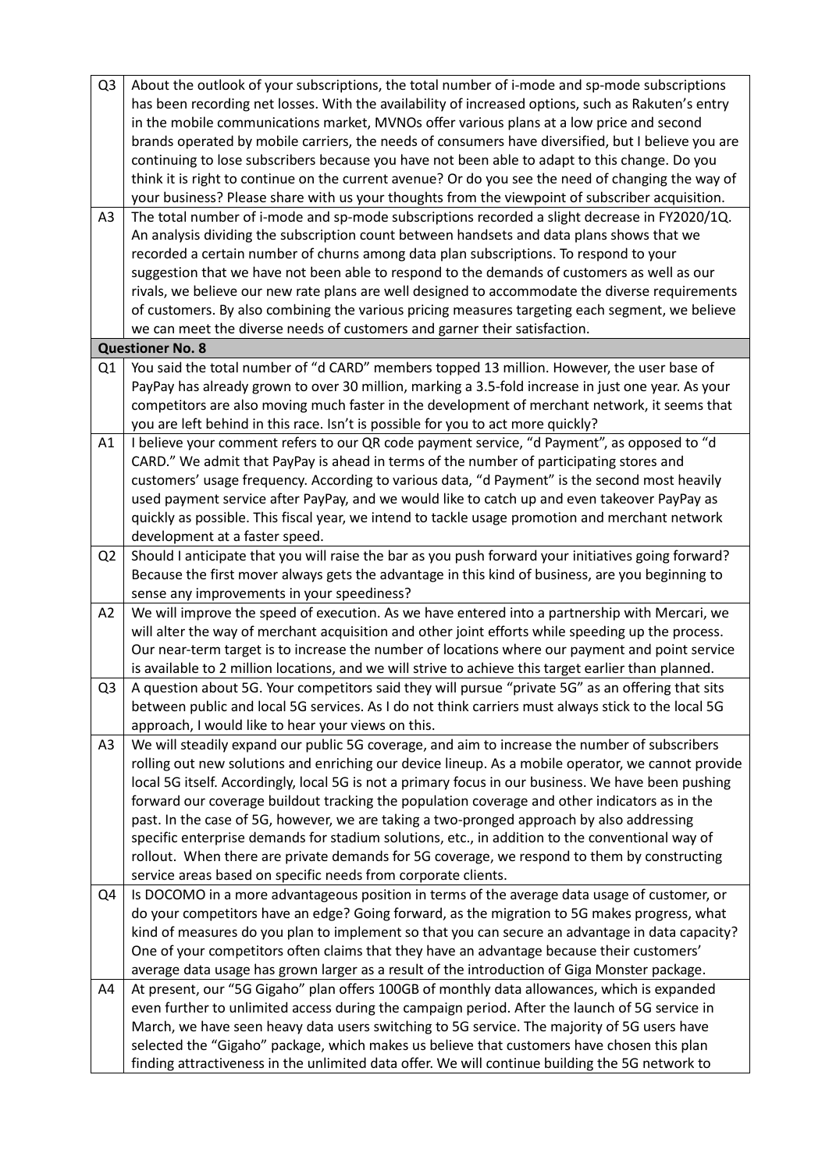| Q <sub>3</sub> | About the outlook of your subscriptions, the total number of i-mode and sp-mode subscriptions                                                                                                           |
|----------------|---------------------------------------------------------------------------------------------------------------------------------------------------------------------------------------------------------|
|                | has been recording net losses. With the availability of increased options, such as Rakuten's entry                                                                                                      |
|                | in the mobile communications market, MVNOs offer various plans at a low price and second                                                                                                                |
|                | brands operated by mobile carriers, the needs of consumers have diversified, but I believe you are                                                                                                      |
|                | continuing to lose subscribers because you have not been able to adapt to this change. Do you                                                                                                           |
|                | think it is right to continue on the current avenue? Or do you see the need of changing the way of                                                                                                      |
|                | your business? Please share with us your thoughts from the viewpoint of subscriber acquisition.                                                                                                         |
| A3             | The total number of i-mode and sp-mode subscriptions recorded a slight decrease in FY2020/1Q.                                                                                                           |
|                | An analysis dividing the subscription count between handsets and data plans shows that we                                                                                                               |
|                | recorded a certain number of churns among data plan subscriptions. To respond to your                                                                                                                   |
|                | suggestion that we have not been able to respond to the demands of customers as well as our                                                                                                             |
|                | rivals, we believe our new rate plans are well designed to accommodate the diverse requirements                                                                                                         |
|                | of customers. By also combining the various pricing measures targeting each segment, we believe                                                                                                         |
|                | we can meet the diverse needs of customers and garner their satisfaction.                                                                                                                               |
|                | <b>Questioner No. 8</b>                                                                                                                                                                                 |
| Q <sub>1</sub> | You said the total number of "d CARD" members topped 13 million. However, the user base of                                                                                                              |
|                | PayPay has already grown to over 30 million, marking a 3.5-fold increase in just one year. As your                                                                                                      |
|                | competitors are also moving much faster in the development of merchant network, it seems that                                                                                                           |
|                | you are left behind in this race. Isn't is possible for you to act more quickly?                                                                                                                        |
| A1             | I believe your comment refers to our QR code payment service, "d Payment", as opposed to "d                                                                                                             |
|                | CARD." We admit that PayPay is ahead in terms of the number of participating stores and                                                                                                                 |
|                | customers' usage frequency. According to various data, "d Payment" is the second most heavily                                                                                                           |
|                | used payment service after PayPay, and we would like to catch up and even takeover PayPay as                                                                                                            |
|                | quickly as possible. This fiscal year, we intend to tackle usage promotion and merchant network                                                                                                         |
|                | development at a faster speed.                                                                                                                                                                          |
| Q <sub>2</sub> | Should I anticipate that you will raise the bar as you push forward your initiatives going forward?                                                                                                     |
|                | Because the first mover always gets the advantage in this kind of business, are you beginning to                                                                                                        |
|                | sense any improvements in your speediness?                                                                                                                                                              |
| A2             | We will improve the speed of execution. As we have entered into a partnership with Mercari, we                                                                                                          |
|                | will alter the way of merchant acquisition and other joint efforts while speeding up the process.                                                                                                       |
|                | Our near-term target is to increase the number of locations where our payment and point service<br>is available to 2 million locations, and we will strive to achieve this target earlier than planned. |
|                | A question about 5G. Your competitors said they will pursue "private 5G" as an offering that sits                                                                                                       |
| Q <sub>3</sub> | between public and local 5G services. As I do not think carriers must always stick to the local 5G                                                                                                      |
|                | approach, I would like to hear your views on this.                                                                                                                                                      |
| A3             | We will steadily expand our public 5G coverage, and aim to increase the number of subscribers                                                                                                           |
|                | rolling out new solutions and enriching our device lineup. As a mobile operator, we cannot provide                                                                                                      |
|                | local 5G itself. Accordingly, local 5G is not a primary focus in our business. We have been pushing                                                                                                     |
|                | forward our coverage buildout tracking the population coverage and other indicators as in the                                                                                                           |
|                | past. In the case of 5G, however, we are taking a two-pronged approach by also addressing                                                                                                               |
|                | specific enterprise demands for stadium solutions, etc., in addition to the conventional way of                                                                                                         |
|                | rollout. When there are private demands for 5G coverage, we respond to them by constructing                                                                                                             |
|                | service areas based on specific needs from corporate clients.                                                                                                                                           |
| Q4             | Is DOCOMO in a more advantageous position in terms of the average data usage of customer, or                                                                                                            |
|                | do your competitors have an edge? Going forward, as the migration to 5G makes progress, what                                                                                                            |
|                | kind of measures do you plan to implement so that you can secure an advantage in data capacity?                                                                                                         |
|                | One of your competitors often claims that they have an advantage because their customers'                                                                                                               |
|                | average data usage has grown larger as a result of the introduction of Giga Monster package.                                                                                                            |
| A4             | At present, our "5G Gigaho" plan offers 100GB of monthly data allowances, which is expanded                                                                                                             |
|                | even further to unlimited access during the campaign period. After the launch of 5G service in                                                                                                          |
|                | March, we have seen heavy data users switching to 5G service. The majority of 5G users have                                                                                                             |
|                | selected the "Gigaho" package, which makes us believe that customers have chosen this plan                                                                                                              |
|                | finding attractiveness in the unlimited data offer. We will continue building the 5G network to                                                                                                         |